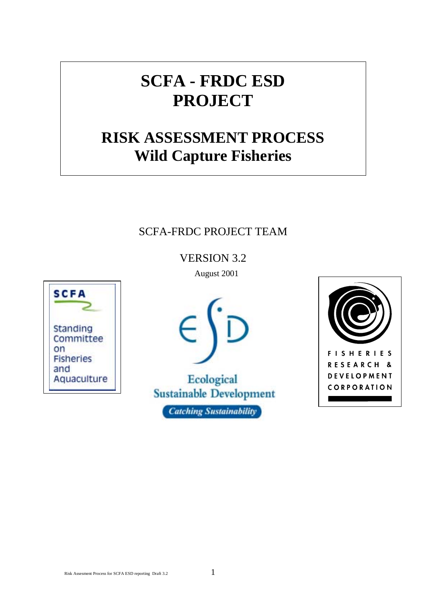# **SCFA - FRDC ESD PROJECT**

# **RISK ASSESSMENT PROCESS Wild Capture Fisheries**

# SCFA-FRDC PROJECT TEAM

VERSION 3.2

**SCFA Standing** Committee on **Fisheries** and Aquaculture August 2001



Ecological **Sustainable Development Catching Sustainability** 

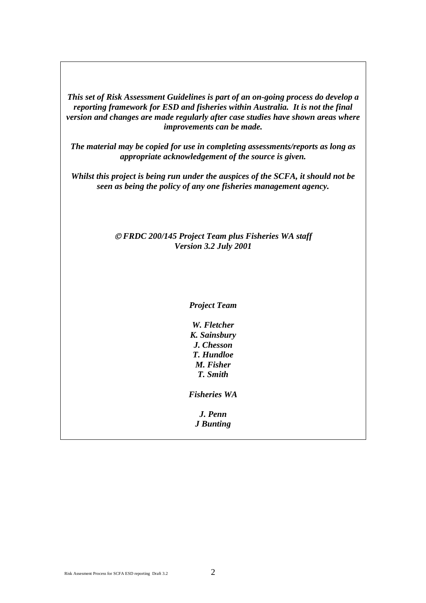*This set of Risk Assessment Guidelines is part of an on-going process do develop a reporting framework for ESD and fisheries within Australia. It is not the final version and changes are made regularly after case studies have shown areas where improvements can be made.* 

*The material may be copied for use in completing assessments/reports as long as appropriate acknowledgement of the source is given.* 

*Whilst this project is being run under the auspices of the SCFA, it should not be seen as being the policy of any one fisheries management agency.* 

#### *FRDC 200/145 Project Team plus Fisheries WA staff Version 3.2 July 2001*

*Project Team*

*W. Fletcher K. Sainsbury J. Chesson T. Hundloe M. Fisher T. Smith* 

*Fisheries WA* 

*J. Penn J Bunting*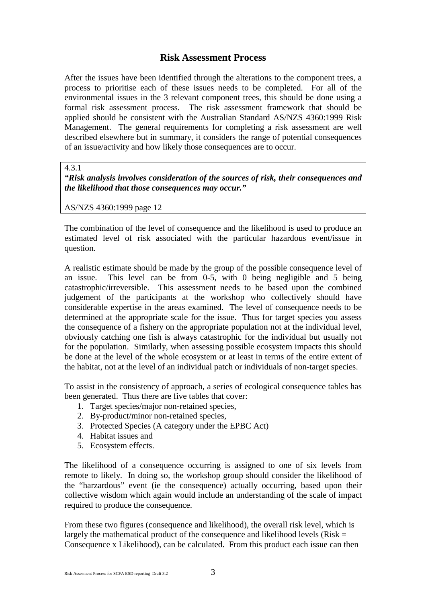### **Risk Assessment Process**

After the issues have been identified through the alterations to the component trees, a process to prioritise each of these issues needs to be completed. For all of the environmental issues in the 3 relevant component trees, this should be done using a formal risk assessment process. The risk assessment framework that should be applied should be consistent with the Australian Standard AS/NZS 4360:1999 Risk Management. The general requirements for completing a risk assessment are well described elsewhere but in summary, it considers the range of potential consequences of an issue/activity and how likely those consequences are to occur.

4.3.1

*"Risk analysis involves consideration of the sources of risk, their consequences and the likelihood that those consequences may occur."* 

AS/NZS 4360:1999 page 12

The combination of the level of consequence and the likelihood is used to produce an estimated level of risk associated with the particular hazardous event/issue in question.

A realistic estimate should be made by the group of the possible consequence level of an issue. This level can be from 0-5, with 0 being negligible and 5 being catastrophic/irreversible. This assessment needs to be based upon the combined judgement of the participants at the workshop who collectively should have considerable expertise in the areas examined. The level of consequence needs to be determined at the appropriate scale for the issue. Thus for target species you assess the consequence of a fishery on the appropriate population not at the individual level, obviously catching one fish is always catastrophic for the individual but usually not for the population. Similarly, when assessing possible ecosystem impacts this should be done at the level of the whole ecosystem or at least in terms of the entire extent of the habitat, not at the level of an individual patch or individuals of non-target species.

To assist in the consistency of approach, a series of ecological consequence tables has been generated. Thus there are five tables that cover:

- 1. Target species/major non-retained species,
- 2. By-product/minor non-retained species,
- 3. Protected Species (A category under the EPBC Act)
- 4. Habitat issues and
- 5. Ecosystem effects.

The likelihood of a consequence occurring is assigned to one of six levels from remote to likely. In doing so, the workshop group should consider the likelihood of the "harzardous" event (ie the consequence) actually occurring, based upon their collective wisdom which again would include an understanding of the scale of impact required to produce the consequence.

From these two figures (consequence and likelihood), the overall risk level, which is largely the mathematical product of the consequence and likelihood levels ( $Risk =$ Consequence x Likelihood), can be calculated. From this product each issue can then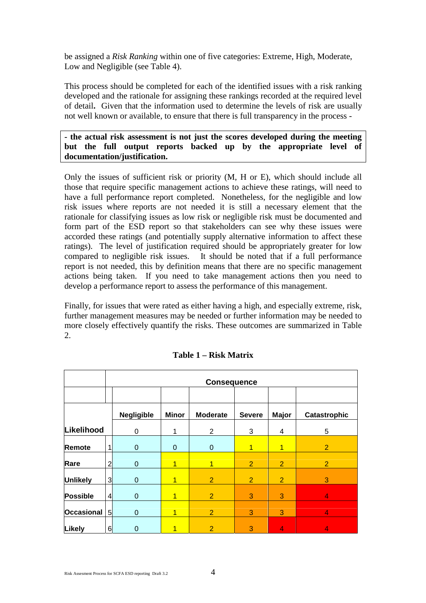be assigned a *Risk Ranking* within one of five categories: Extreme, High, Moderate, Low and Negligible (see Table 4).

This process should be completed for each of the identified issues with a risk ranking developed and the rationale for assigning these rankings recorded at the required level of detail**.** Given that the information used to determine the levels of risk are usually not well known or available, to ensure that there is full transparency in the process -

#### **- the actual risk assessment is not just the scores developed during the meeting but the full output reports backed up by the appropriate level of documentation/justification.**

Only the issues of sufficient risk or priority (M, H or E), which should include all those that require specific management actions to achieve these ratings, will need to have a full performance report completed. Nonetheless, for the negligible and low risk issues where reports are not needed it is still a necessary element that the rationale for classifying issues as low risk or negligible risk must be documented and form part of the ESD report so that stakeholders can see why these issues were accorded these ratings (and potentially supply alternative information to affect these ratings). The level of justification required should be appropriately greater for low compared to negligible risk issues. It should be noted that if a full performance report is not needed, this by definition means that there are no specific management actions being taken. If you need to take management actions then you need to develop a performance report to assess the performance of this management.

Finally, for issues that were rated as either having a high, and especially extreme, risk, further management measures may be needed or further information may be needed to more closely effectively quantify the risks. These outcomes are summarized in Table 2.

|                   |                | <b>Consequence</b> |              |                 |                |                |                |
|-------------------|----------------|--------------------|--------------|-----------------|----------------|----------------|----------------|
|                   |                |                    |              |                 |                |                |                |
|                   |                | <b>Negligible</b>  | <b>Minor</b> | <b>Moderate</b> | <b>Severe</b>  | <b>Major</b>   | Catastrophic   |
| Likelihood        |                | $\mathbf 0$        |              | $\overline{2}$  | 3              | 4              | 5              |
| <b>Remote</b>     | 1              | $\mathbf 0$        | 0            | $\mathbf{0}$    | 1              | 1              | 2              |
| Rare              | $\overline{a}$ | $\mathbf 0$        |              | 1               | $\overline{2}$ | $\overline{2}$ | $\overline{2}$ |
| <b>Unlikely</b>   | $\overline{3}$ | $\mathbf 0$        |              | $\overline{2}$  | $\overline{2}$ | $\overline{2}$ | 3              |
| Possible          | $\overline{4}$ | $\mathbf 0$        |              | $\overline{2}$  | 3              | 3              | $\overline{4}$ |
| <b>Occasional</b> | 5              | $\mathbf 0$        | 1            | $\overline{2}$  | 3              | 3              | $\overline{4}$ |
| Likely            | 6              | $\mathbf 0$        |              | $\overline{2}$  | 3              | 4              | 4              |

#### **Table 1 – Risk Matrix**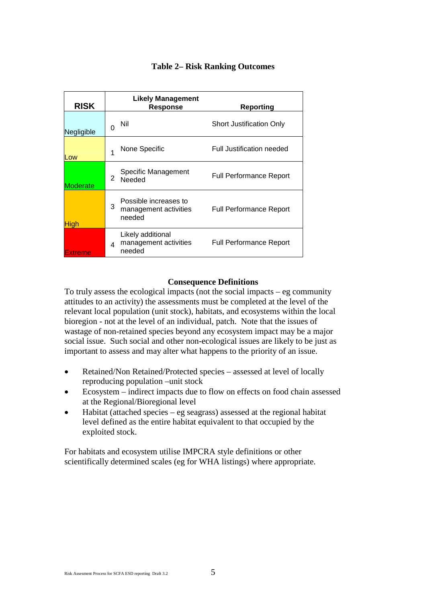| <b>RISK</b>     | Likely Management<br><b>Response</b>                          | Reporting                       |
|-----------------|---------------------------------------------------------------|---------------------------------|
| Negligible      | Nil<br>0                                                      | <b>Short Justification Only</b> |
| Low             | None Specific                                                 | Full Justification needed       |
| <b>Moderate</b> | Specific Management<br>2<br>Needed                            | <b>Full Performance Report</b>  |
| High            | Possible increases to<br>3<br>management activities<br>needed | <b>Full Performance Report</b>  |
| Extreme         | Likely additional<br>management activities<br>Δ<br>needed     | <b>Full Performance Report</b>  |

#### **Table 2– Risk Ranking Outcomes**

#### **Consequence Definitions**

To truly assess the ecological impacts (not the social impacts – eg community attitudes to an activity) the assessments must be completed at the level of the relevant local population (unit stock), habitats, and ecosystems within the local bioregion - not at the level of an individual, patch. Note that the issues of wastage of non-retained species beyond any ecosystem impact may be a major social issue. Such social and other non-ecological issues are likely to be just as important to assess and may alter what happens to the priority of an issue.

- Retained/Non Retained/Protected species assessed at level of locally reproducing population –unit stock  $\bullet$
- -Ecosystem – indirect impacts due to flow on effects on food chain assessed at the Regional/Bioregional level
- $\bullet$ Habitat (attached species – eg seagrass) assessed at the regional habitat level defined as the entire habitat equivalent to that occupied by the exploited stock.

For habitats and ecosystem utilise IMPCRA style definitions or other scientifically determined scales (eg for WHA listings) where appropriate.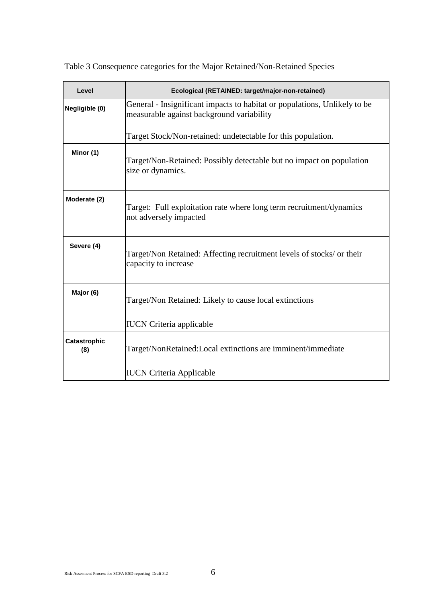| Level               | Ecological (RETAINED: target/major-non-retained)                                                                       |
|---------------------|------------------------------------------------------------------------------------------------------------------------|
| Negligible (0)      | General - Insignificant impacts to habitat or populations, Unlikely to be<br>measurable against background variability |
|                     | Target Stock/Non-retained: undetectable for this population.                                                           |
| Minor (1)           | Target/Non-Retained: Possibly detectable but no impact on population<br>size or dynamics.                              |
| Moderate (2)        | Target: Full exploitation rate where long term recruitment/dynamics<br>not adversely impacted                          |
| Severe (4)          | Target/Non Retained: Affecting recruitment levels of stocks/ or their<br>capacity to increase                          |
| Major (6)           | Target/Non Retained: Likely to cause local extinctions                                                                 |
|                     | <b>IUCN</b> Criteria applicable                                                                                        |
| Catastrophic<br>(8) | Target/NonRetained:Local extinctions are imminent/immediate                                                            |
|                     | <b>IUCN Criteria Applicable</b>                                                                                        |

Table 3 Consequence categories for the Major Retained/Non-Retained Species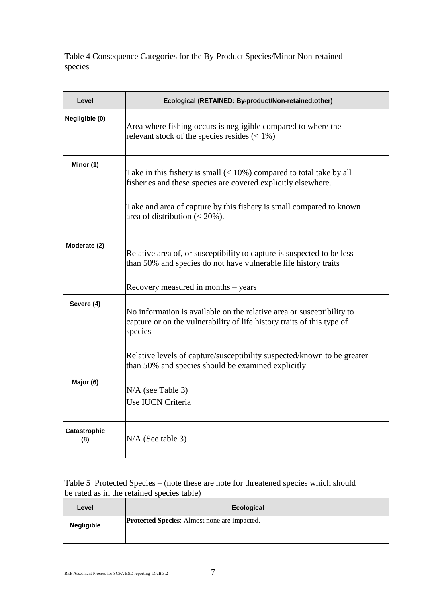Table 4 Consequence Categories for the By-Product Species/Minor Non-retained species

| Level               | Ecological (RETAINED: By-product/Non-retained:other)                                                                                                       |
|---------------------|------------------------------------------------------------------------------------------------------------------------------------------------------------|
| Negligible (0)      | Area where fishing occurs is negligible compared to where the<br>relevant stock of the species resides $(< 1\%)$                                           |
| Minor (1)           | Take in this fishery is small $(< 10\%)$ compared to total take by all<br>fisheries and these species are covered explicitly elsewhere.                    |
|                     | Take and area of capture by this fishery is small compared to known<br>area of distribution $(< 20\%$ ).                                                   |
| Moderate (2)        | Relative area of, or susceptibility to capture is suspected to be less<br>than 50% and species do not have vulnerable life history traits                  |
|                     | Recovery measured in months – years                                                                                                                        |
| Severe (4)          | No information is available on the relative area or susceptibility to<br>capture or on the vulnerability of life history traits of this type of<br>species |
|                     | Relative levels of capture/susceptibility suspected/known to be greater<br>than 50% and species should be examined explicitly                              |
| Major (6)           | $N/A$ (see Table 3)<br>Use IUCN Criteria                                                                                                                   |
| Catastrophic<br>(8) | $N/A$ (See table 3)                                                                                                                                        |

### Table 5 Protected Species – (note these are note for threatened species which should be rated as in the retained species table)

| Level             | Ecological                                          |
|-------------------|-----------------------------------------------------|
| <b>Negligible</b> | <b>Protected Species:</b> Almost none are impacted. |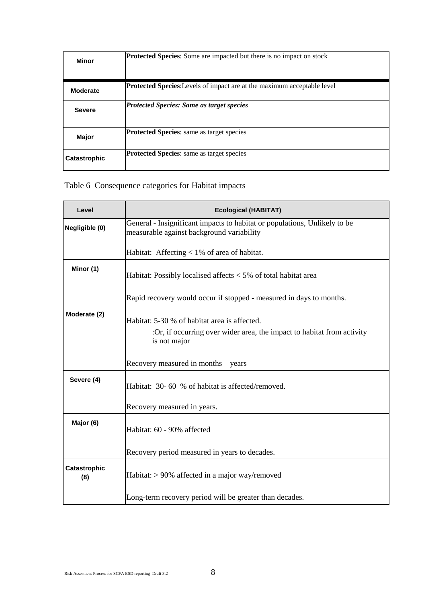| <b>Minor</b>        | <b>Protected Species:</b> Some are impacted but there is no impact on stock    |
|---------------------|--------------------------------------------------------------------------------|
| <b>Moderate</b>     | <b>Protected Species:</b> Levels of impact are at the maximum acceptable level |
| <b>Severe</b>       | <b>Protected Species: Same as target species</b>                               |
| Major               | <b>Protected Species:</b> same as target species                               |
| <b>Catastrophic</b> | <b>Protected Species:</b> same as target species                               |

# Table 6 Consequence categories for Habitat impacts

| Level               | <b>Ecological (HABITAT)</b>                                                                                                            |
|---------------------|----------------------------------------------------------------------------------------------------------------------------------------|
| Negligible (0)      | General - Insignificant impacts to habitat or populations, Unlikely to be<br>measurable against background variability                 |
|                     | Habitat: Affecting < 1% of area of habitat.                                                                                            |
| Minor (1)           | Habitat: Possibly localised affects < 5% of total habitat area                                                                         |
|                     | Rapid recovery would occur if stopped - measured in days to months.                                                                    |
| Moderate (2)        | Habitat: 5-30 % of habitat area is affected.<br>:Or, if occurring over wider area, the impact to habitat from activity<br>is not major |
|                     | Recovery measured in months – years                                                                                                    |
| Severe (4)          | Habitat: 30-60 % of habitat is affected/removed.                                                                                       |
|                     | Recovery measured in years.                                                                                                            |
| Major (6)           | Habitat: 60 - 90% affected                                                                                                             |
|                     | Recovery period measured in years to decades.                                                                                          |
| Catastrophic<br>(8) | Habitat: > 90% affected in a major way/removed                                                                                         |
|                     | Long-term recovery period will be greater than decades.                                                                                |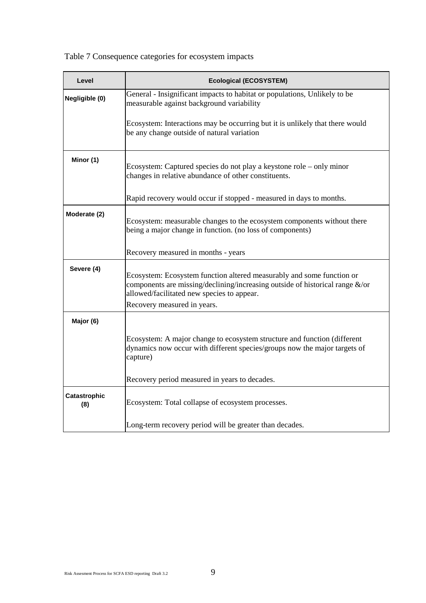Table 7 Consequence categories for ecosystem impacts

| Level               | <b>Ecological (ECOSYSTEM)</b>                                                                                                                                                                                                      |
|---------------------|------------------------------------------------------------------------------------------------------------------------------------------------------------------------------------------------------------------------------------|
| Negligible (0)      | General - Insignificant impacts to habitat or populations, Unlikely to be<br>measurable against background variability                                                                                                             |
|                     | Ecosystem: Interactions may be occurring but it is unlikely that there would<br>be any change outside of natural variation                                                                                                         |
| Minor (1)           | Ecosystem: Captured species do not play a keystone role – only minor<br>changes in relative abundance of other constituents.                                                                                                       |
|                     | Rapid recovery would occur if stopped - measured in days to months.                                                                                                                                                                |
| Moderate (2)        | Ecosystem: measurable changes to the ecosystem components without there<br>being a major change in function. (no loss of components)                                                                                               |
|                     | Recovery measured in months - years                                                                                                                                                                                                |
| Severe (4)          | Ecosystem: Ecosystem function altered measurably and some function or<br>components are missing/declining/increasing outside of historical range &/or<br>allowed/facilitated new species to appear.<br>Recovery measured in years. |
| Major (6)           |                                                                                                                                                                                                                                    |
|                     | Ecosystem: A major change to ecosystem structure and function (different<br>dynamics now occur with different species/groups now the major targets of<br>capture)                                                                  |
|                     | Recovery period measured in years to decades.                                                                                                                                                                                      |
| Catastrophic<br>(8) | Ecosystem: Total collapse of ecosystem processes.                                                                                                                                                                                  |
|                     | Long-term recovery period will be greater than decades.                                                                                                                                                                            |